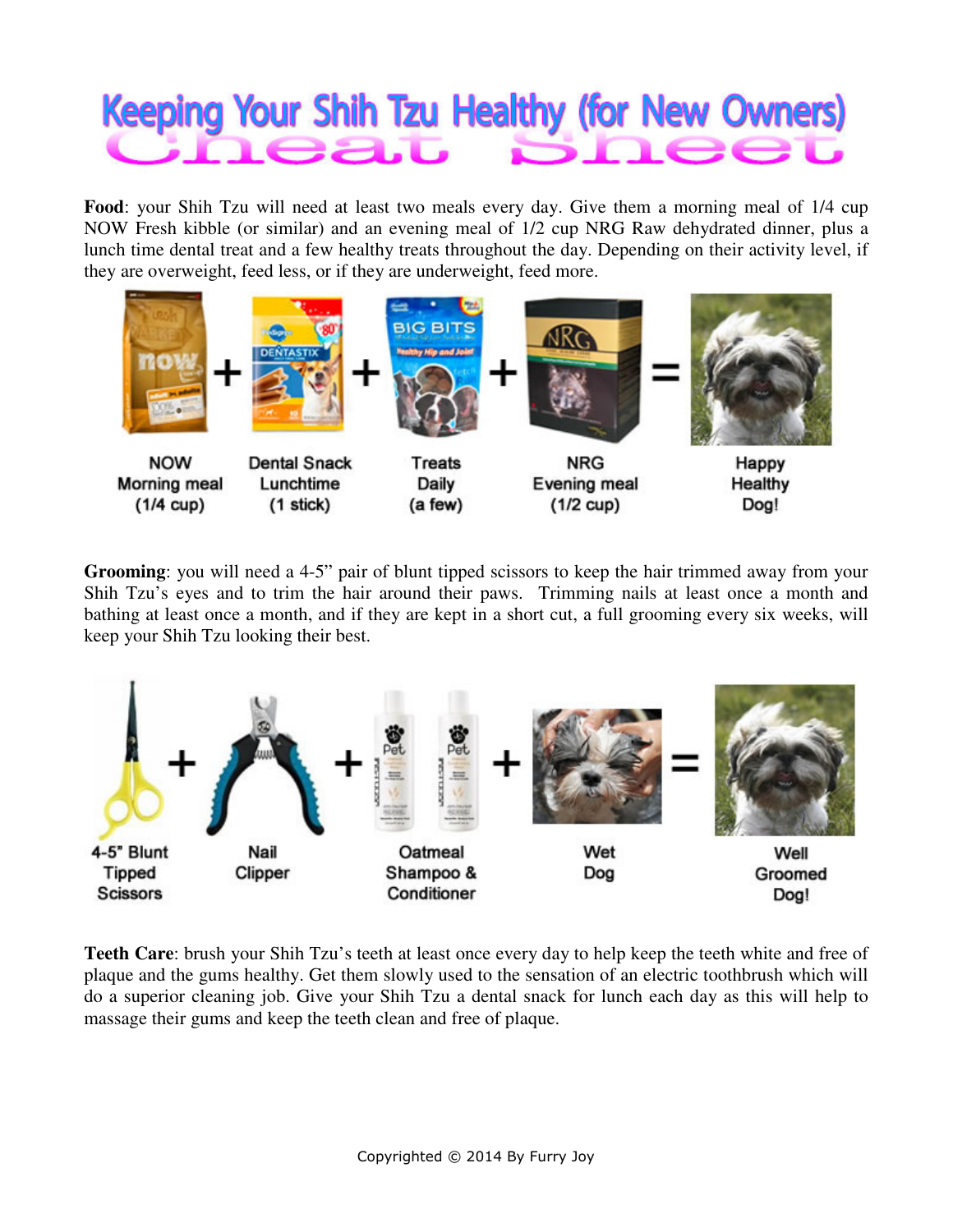## **Keeping Your Shih Tzu Healthy (for New Owners)** Ba.u

**Food**: your Shih Tzu will need at least two meals every day. Give them a morning meal of 1/4 cup NOW Fresh kibble (or similar) and an evening meal of 1/2 cup NRG Raw dehydrated dinner, plus a lunch time dental treat and a few healthy treats throughout the day. Depending on their activity level, if they are overweight, feed less, or if they are underweight, feed more.



**Grooming**: you will need a 4-5" pair of blunt tipped scissors to keep the hair trimmed away from your Shih Tzu's eyes and to trim the hair around their paws. Trimming nails at least once a month and bathing at least once a month, and if they are kept in a short cut, a full grooming every six weeks, will keep your Shih Tzu looking their best.



**Teeth Care**: brush your Shih Tzu's teeth at least once every day to help keep the teeth white and free of plaque and the gums healthy. Get them slowly used to the sensation of an electric toothbrush which will do a superior cleaning job. Give your Shih Tzu a dental snack for lunch each day as this will help to massage their gums and keep the teeth clean and free of plaque.